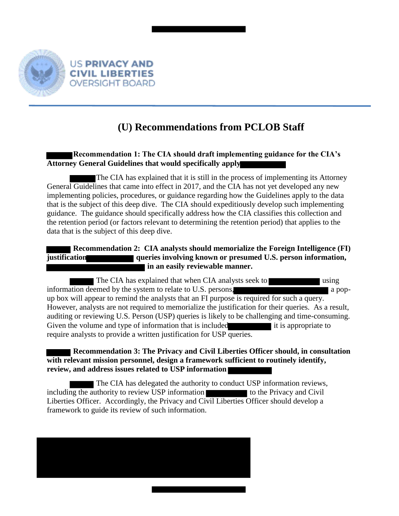

## **(U) Recommendations from PCLOB Staff**

## **Recommendation 1: The CIA should draft implementing guidance for the CIA's Attorney General Guidelines that would specifically apply**

The CIA has explained that it is still in the process of implementing its Attorney General Guidelines that came into effect in 2017, and the CIA has not yet developed any new implementing policies, procedures, or guidance regarding how the Guidelines apply to the data that is the subject of this deep dive. The CIA should expeditiously develop such implementing guidance. The guidance should specifically address how the CIA classifies this collection and the retention period (or factors relevant to determining the retention period) that applies to the data that is the subject of this deep dive.

## **Recommendation 2: CIA analysts should memorialize the Foreign Intelligence (FI) justification queries involving known or presumed U.S. person information,**   $\blacksquare$  in an easily reviewable manner.

The CIA has explained that when CIA analysts seek to using using information deemed by the system to relate to U.S. persons, and a popup box will appear to remind the analysts that an FI purpose is required for such a query. However, analysts are not required to memorialize the justification for their queries. As a result, auditing or reviewing U.S. Person (USP) queries is likely to be challenging and time-consuming. Given the volume and type of information that is included it is appropriate to require analysts to provide a written justification for USP queries.

 **Recommendation 3: The Privacy and Civil Liberties Officer should, in consultation with relevant mission personnel, design a framework sufficient to routinely identify, review, and address issues related to USP information** 

The CIA has delegated the authority to conduct USP information reviews, including the authority to review USP information to the Privacy and Civil Liberties Officer. Accordingly, the Privacy and Civil Liberties Officer should develop a framework to guide its review of such information.